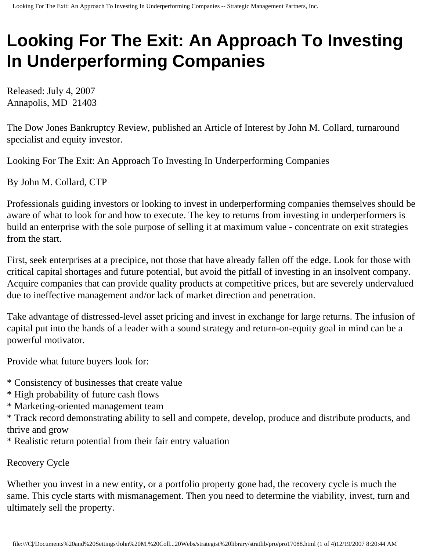## **Looking For The Exit: An Approach To Investing In Underperforming Companies**

Released: July 4, 2007 Annapolis, MD 21403

The Dow Jones Bankruptcy Review, published an Article of Interest by John M. Collard, turnaround specialist and equity investor.

Looking For The Exit: An Approach To Investing In Underperforming Companies

By John M. Collard, CTP

Professionals guiding investors or looking to invest in underperforming companies themselves should be aware of what to look for and how to execute. The key to returns from investing in underperformers is build an enterprise with the sole purpose of selling it at maximum value - concentrate on exit strategies from the start.

First, seek enterprises at a precipice, not those that have already fallen off the edge. Look for those with critical capital shortages and future potential, but avoid the pitfall of investing in an insolvent company. Acquire companies that can provide quality products at competitive prices, but are severely undervalued due to ineffective management and/or lack of market direction and penetration.

Take advantage of distressed-level asset pricing and invest in exchange for large returns. The infusion of capital put into the hands of a leader with a sound strategy and return-on-equity goal in mind can be a powerful motivator.

Provide what future buyers look for:

- \* Consistency of businesses that create value
- \* High probability of future cash flows
- \* Marketing-oriented management team

\* Track record demonstrating ability to sell and compete, develop, produce and distribute products, and thrive and grow

\* Realistic return potential from their fair entry valuation

Recovery Cycle

Whether you invest in a new entity, or a portfolio property gone bad, the recovery cycle is much the same. This cycle starts with mismanagement. Then you need to determine the viability, invest, turn and ultimately sell the property.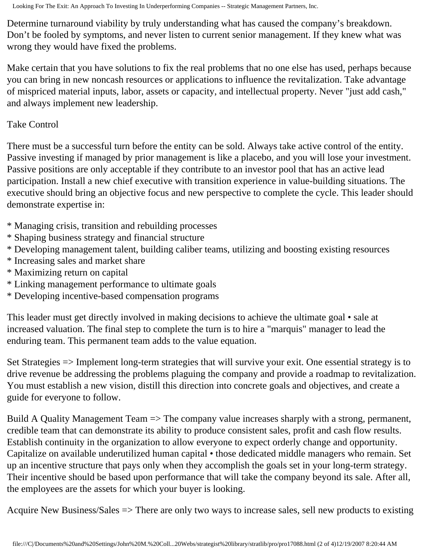Looking For The Exit: An Approach To Investing In Underperforming Companies -- Strategic Management Partners, Inc.

Determine turnaround viability by truly understanding what has caused the company's breakdown. Don't be fooled by symptoms, and never listen to current senior management. If they knew what was wrong they would have fixed the problems.

Make certain that you have solutions to fix the real problems that no one else has used, perhaps because you can bring in new noncash resources or applications to influence the revitalization. Take advantage of mispriced material inputs, labor, assets or capacity, and intellectual property. Never "just add cash," and always implement new leadership.

Take Control

There must be a successful turn before the entity can be sold. Always take active control of the entity. Passive investing if managed by prior management is like a placebo, and you will lose your investment. Passive positions are only acceptable if they contribute to an investor pool that has an active lead participation. Install a new chief executive with transition experience in value-building situations. The executive should bring an objective focus and new perspective to complete the cycle. This leader should demonstrate expertise in:

- \* Managing crisis, transition and rebuilding processes
- \* Shaping business strategy and financial structure
- \* Developing management talent, building caliber teams, utilizing and boosting existing resources
- \* Increasing sales and market share
- \* Maximizing return on capital
- \* Linking management performance to ultimate goals
- \* Developing incentive-based compensation programs

This leader must get directly involved in making decisions to achieve the ultimate goal • sale at increased valuation. The final step to complete the turn is to hire a "marquis" manager to lead the enduring team. This permanent team adds to the value equation.

Set Strategies => Implement long-term strategies that will survive your exit. One essential strategy is to drive revenue be addressing the problems plaguing the company and provide a roadmap to revitalization. You must establish a new vision, distill this direction into concrete goals and objectives, and create a guide for everyone to follow.

Build A Quality Management Team => The company value increases sharply with a strong, permanent, credible team that can demonstrate its ability to produce consistent sales, profit and cash flow results. Establish continuity in the organization to allow everyone to expect orderly change and opportunity. Capitalize on available underutilized human capital • those dedicated middle managers who remain. Set up an incentive structure that pays only when they accomplish the goals set in your long-term strategy. Their incentive should be based upon performance that will take the company beyond its sale. After all, the employees are the assets for which your buyer is looking.

Acquire New Business/Sales => There are only two ways to increase sales, sell new products to existing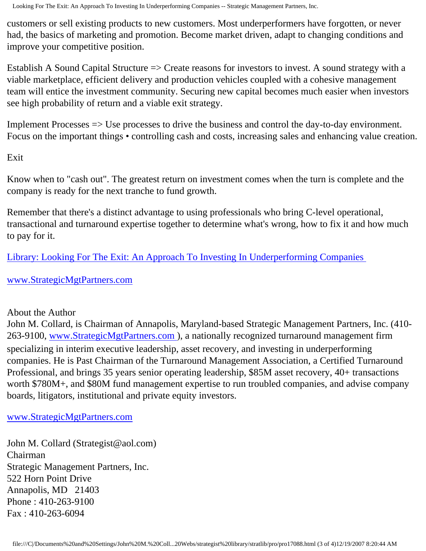Looking For The Exit: An Approach To Investing In Underperforming Companies -- Strategic Management Partners, Inc.

customers or sell existing products to new customers. Most underperformers have forgotten, or never had, the basics of marketing and promotion. Become market driven, adapt to changing conditions and improve your competitive position.

Establish A Sound Capital Structure => Create reasons for investors to invest. A sound strategy with a viable marketplace, efficient delivery and production vehicles coupled with a cohesive management team will entice the investment community. Securing new capital becomes much easier when investors see high probability of return and a viable exit strategy.

Implement Processes => Use processes to drive the business and control the day-to-day environment. Focus on the important things • controlling cash and costs, increasing sales and enhancing value creation.

Exit

Know when to "cash out". The greatest return on investment comes when the turn is complete and the company is ready for the next tranche to fund growth.

Remember that there's a distinct advantage to using professionals who bring C-level operational, transactional and turnaround expertise together to determine what's wrong, how to fix it and how much to pay for it.

[Library: Looking For The Exit: An Approach To Investing In Underperforming Companies](http://members.aol.com/stratlib3/djexit.html) 

## [www.StrategicMgtPartners.com](http://www.strategicmgtpartners.com/)

## About the Author

John M. Collard, is Chairman of Annapolis, Maryland-based Strategic Management Partners, Inc. (410- 263-9100, [www.StrategicMgtPartners.com](http://www.strategicmgtpartners.com/) ), a nationally recognized turnaround management firm specializing in interim executive leadership, asset recovery, and investing in underperforming companies. He is Past Chairman of the Turnaround Management Association, a Certified Turnaround Professional, and brings 35 years senior operating leadership, \$85M asset recovery, 40+ transactions worth \$780M+, and \$80M fund management expertise to run troubled companies, and advise company boards, litigators, institutional and private equity investors.

## [www.StrategicMgtPartners.com](http://www.strategicmgtpartners.com/)

John M. Collard (Strategist@aol.com) Chairman Strategic Management Partners, Inc. 522 Horn Point Drive Annapolis, MD 21403 Phone : 410-263-9100 Fax : 410-263-6094